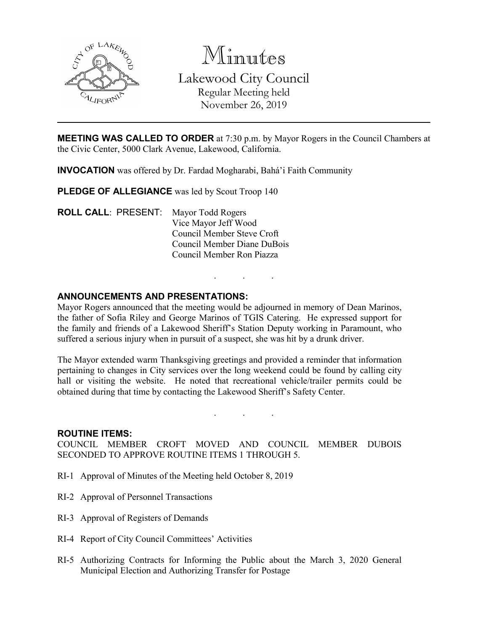

Minutes Lakewood City Council Regular Meeting held November 26, 2019

**MEETING WAS CALLED TO ORDER** at 7:30 p.m. by Mayor Rogers in the Council Chambers at the Civic Center, 5000 Clark Avenue, Lakewood, California.

**INVOCATION** was offered by Dr. Fardad Mogharabi, Bahá'i Faith Community

**PLEDGE OF ALLEGIANCE** was led by Scout Troop 140

**ROLL CALL**: PRESENT: Mayor Todd Rogers Vice Mayor Jeff Wood Council Member Steve Croft Council Member Diane DuBois Council Member Ron Piazza

## **ANNOUNCEMENTS AND PRESENTATIONS:**

Mayor Rogers announced that the meeting would be adjourned in memory of Dean Marinos, the father of Sofia Riley and George Marinos of TGIS Catering. He expressed support for the family and friends of a Lakewood Sheriff's Station Deputy working in Paramount, who suffered a serious injury when in pursuit of a suspect, she was hit by a drunk driver.

. . .

The Mayor extended warm Thanksgiving greetings and provided a reminder that information pertaining to changes in City services over the long weekend could be found by calling city hall or visiting the website. He noted that recreational vehicle/trailer permits could be obtained during that time by contacting the Lakewood Sheriff's Safety Center.

. . .

#### **ROUTINE ITEMS:**

COUNCIL MEMBER CROFT MOVED AND COUNCIL MEMBER DUBOIS SECONDED TO APPROVE ROUTINE ITEMS 1 THROUGH 5.

- RI-1 Approval of Minutes of the Meeting held October 8, 2019
- RI-2 Approval of Personnel Transactions
- RI-3 Approval of Registers of Demands
- RI-4 Report of City Council Committees' Activities
- RI-5 Authorizing Contracts for Informing the Public about the March 3, 2020 General Municipal Election and Authorizing Transfer for Postage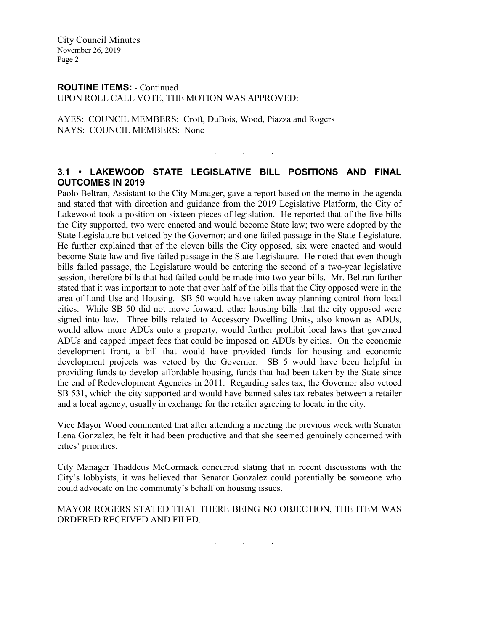City Council Minutes November 26, 2019 Page 2

# **ROUTINE ITEMS:** - Continued

UPON ROLL CALL VOTE, THE MOTION WAS APPROVED:

AYES: COUNCIL MEMBERS: Croft, DuBois, Wood, Piazza and Rogers NAYS: COUNCIL MEMBERS: None

## **3.1 • LAKEWOOD STATE LEGISLATIVE BILL POSITIONS AND FINAL OUTCOMES IN 2019**

. . .

Paolo Beltran, Assistant to the City Manager, gave a report based on the memo in the agenda and stated that with direction and guidance from the 2019 Legislative Platform, the City of Lakewood took a position on sixteen pieces of legislation. He reported that of the five bills the City supported, two were enacted and would become State law; two were adopted by the State Legislature but vetoed by the Governor; and one failed passage in the State Legislature. He further explained that of the eleven bills the City opposed, six were enacted and would become State law and five failed passage in the State Legislature. He noted that even though bills failed passage, the Legislature would be entering the second of a two-year legislative session, therefore bills that had failed could be made into two-year bills. Mr. Beltran further stated that it was important to note that over half of the bills that the City opposed were in the area of Land Use and Housing. SB 50 would have taken away planning control from local cities. While SB 50 did not move forward, other housing bills that the city opposed were signed into law. Three bills related to Accessory Dwelling Units, also known as ADUs, would allow more ADUs onto a property, would further prohibit local laws that governed ADUs and capped impact fees that could be imposed on ADUs by cities. On the economic development front, a bill that would have provided funds for housing and economic development projects was vetoed by the Governor. SB 5 would have been helpful in providing funds to develop affordable housing, funds that had been taken by the State since the end of Redevelopment Agencies in 2011. Regarding sales tax, the Governor also vetoed SB 531, which the city supported and would have banned sales tax rebates between a retailer and a local agency, usually in exchange for the retailer agreeing to locate in the city.

Vice Mayor Wood commented that after attending a meeting the previous week with Senator Lena Gonzalez, he felt it had been productive and that she seemed genuinely concerned with cities' priorities.

City Manager Thaddeus McCormack concurred stating that in recent discussions with the City's lobbyists, it was believed that Senator Gonzalez could potentially be someone who could advocate on the community's behalf on housing issues.

MAYOR ROGERS STATED THAT THERE BEING NO OBJECTION, THE ITEM WAS ORDERED RECEIVED AND FILED.

. . .